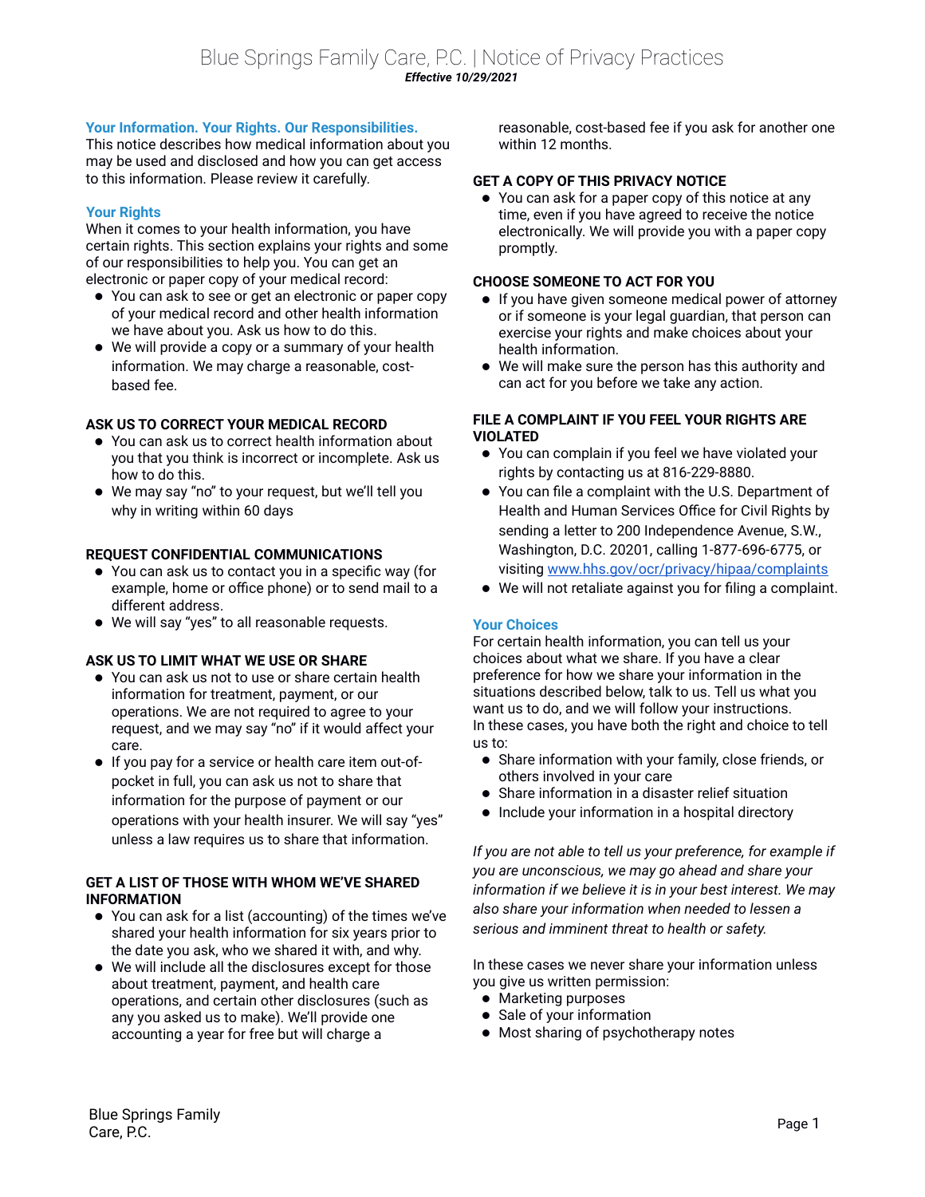# **Your Information. Your Rights. Our Responsibilities.**

This notice describes how medical information about you may be used and disclosed and how you can get access to this information. Please review it carefully.

# **Your Rights**

When it comes to your health information, you have certain rights. This section explains your rights and some of our responsibilities to help you. You can get an electronic or paper copy of your medical record:

- You can ask to see or get an electronic or paper copy of your medical record and other health information we have about you. Ask us how to do this.
- We will provide a copy or a summary of your health information. We may charge a reasonable, costbased fee.

# **ASK US TO CORRECT YOUR MEDICAL RECORD**

- You can ask us to correct health information about you that you think is incorrect or incomplete. Ask us how to do this.
- We may say "no" to your request, but we'll tell you why in writing within 60 days

### **REQUEST CONFIDENTIAL COMMUNICATIONS**

- You can ask us to contact you in a specific way (for example, home or office phone) or to send mail to a different address.
- We will say "yes" to all reasonable requests.

### **ASK US TO LIMIT WHAT WE USE OR SHARE**

- You can ask us not to use or share certain health information for treatment, payment, or our operations. We are not required to agree to your request, and we may say "no" if it would affect your care.
- If you pay for a service or health care item out-ofpocket in full, you can ask us not to share that information for the purpose of payment or our operations with your health insurer. We will say "yes" unless a law requires us to share that information.

### **GET A LIST OF THOSE WITH WHOM WE'VE SHARED INFORMATION**

- You can ask for a list (accounting) of the times we've shared your health information for six years prior to the date you ask, who we shared it with, and why.
- We will include all the disclosures except for those about treatment, payment, and health care operations, and certain other disclosures (such as any you asked us to make). We'll provide one accounting a year for free but will charge a

reasonable, cost-based fee if you ask for another one within 12 months.

### **GET A COPY OF THIS PRIVACY NOTICE**

 You can ask for a paper copy of this notice at any time, even if you have agreed to receive the notice electronically. We will provide you with a paper copy promptly.

### **CHOOSE SOMEONE TO ACT FOR YOU**

- If you have given someone medical power of attorney or if someone is your legal guardian, that person can exercise your rights and make choices about your health information.
- We will make sure the person has this authority and can act for you before we take any action.

### **FILE A COMPLAINT IF YOU FEEL YOUR RIGHTS ARE VIOLATED**

- You can complain if you feel we have violated your rights by contacting us at 816-229-8880.
- You can file a complaint with the U.S. Department of Health and Human Services Office for Civil Rights by sending a letter to 200 Independence Avenue, S.W., Washington, D.C. 20201, calling 1-877-696-6775, or visiting [www.hhs.gov/ocr/privacy/hipaa/complaints](http://www.hhs.gov/ocr/privacy/hipaa/complaints)
- We will not retaliate against you for filing a complaint.

### **Your Choices**

For certain health information, you can tell us your choices about what we share. If you have a clear preference for how we share your information in the situations described below, talk to us. Tell us what you want us to do, and we will follow your instructions. In these cases, you have both the right and choice to tell us to:

- Share information with your family, close friends, or others involved in your care
- Share information in a disaster relief situation
- Include your information in a hospital directory

*If you are not able to tell us your preference, for example if you are unconscious, we may go ahead and share your information if we believe it is in your best interest. We may also share your information when needed to lessen a serious and imminent threat to health or safety.*

In these cases we never share your information unless you give us written permission:

- Marketing purposes
- Sale of your information
- Most sharing of psychotherapy notes